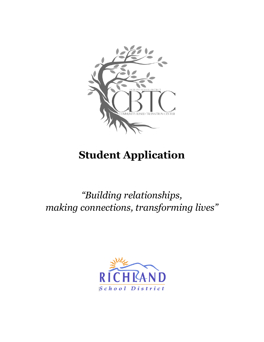

# **Student Application**

*"Building relationships, making connections, transforming lives"*

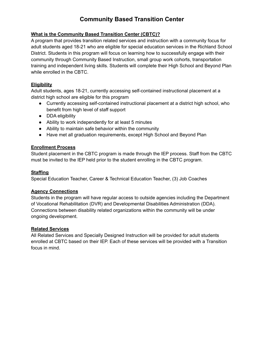#### **What is the Community Based Transition Center (CBTC)?**

A program that provides transition related services and instruction with a community focus for adult students aged 18-21 who are eligible for special education services in the Richland School District. Students in this program will focus on learning how to successfully engage with their community through Community Based Instruction, small group work cohorts, transportation training and independent living skills. Students will complete their High School and Beyond Plan while enrolled in the CBTC.

#### **Eligibility**

Adult students, ages 18-21, currently accessing self-contained instructional placement at a district high school are eligible for this program

- Currently accessing self-contained instructional placement at a district high school, who benefit from high level of staff support
- DDA eligibility
- Ability to work independently for at least 5 minutes
- Ability to maintain safe behavior within the community
- Have met all graduation requirements, except High School and Beyond Plan

## **Enrollment Process**

Student placement in the CBTC program is made through the IEP process. Staff from the CBTC must be invited to the IEP held prior to the student enrolling in the CBTC program.

#### **Staffing**

Special Education Teacher, Career & Technical Education Teacher, (3) Job Coaches

## **Agency Connections**

Students in the program will have regular access to outside agencies including the Department of Vocational Rehabilitation (DVR) and Developmental Disabilities Administration (DDA). Connections between disability related organizations within the community will be under ongoing development.

#### **Related Services**

All Related Services and Specially Designed Instruction will be provided for adult students enrolled at CBTC based on their IEP. Each of these services will be provided with a Transition focus in mind.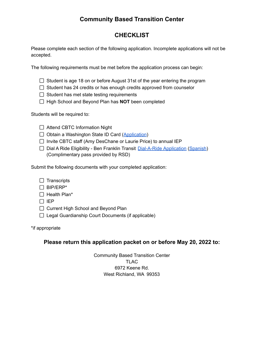# **CHECKLIST**

Please complete each section of the following application. Incomplete applications will not be accepted.

The following requirements must be met before the application process can begin:

- $\Box$  Student is age 18 on or before August 31st of the year entering the program
- $\Box$  Student has 24 credits or has enough credits approved from counselor
- $\Box$  Student has met state testing requirements
- □ High School and Beyond Plan has **NOT** been completed

Students will be required to:

- □ Attend CBTC Information Night
- $\Box$  Obtain a Washington State ID Card ([Application](https://www.dol.wa.gov/driverslicense/gettingidcard.html))
- $\Box$  Invite CBTC staff (Amy DesChane or Laurie Price) to annual IEP
- $\Box$  Dial A Ride Eligibility Ben Franklin Transit [Dial-A-Ride](https://www.bft.org/assets/1/6/dial_a_ride_application_fillable_form2_2019.pdf) Application [\(Spanish](https://www.bft.org/assets/1/6/dial_a_ride_application_fillable_form_spanish_2019.pdf)) (Complimentary pass provided by RSD)

Submit the following documents with your completed application:

- $\Box$  Transcripts
- $\Box$  BIP/ERP\*
- $\Box$  Health Plan\*
- $\Box$  IEP
- $\Box$  Current High School and Beyond Plan
- $\Box$  Legal Guardianship Court Documents (if applicable)

\*if appropriate

## **Please return this application packet on or before May 20, 2022 to:**

Community Based Transition Center TLAC 6972 Keene Rd. West Richland, WA 99353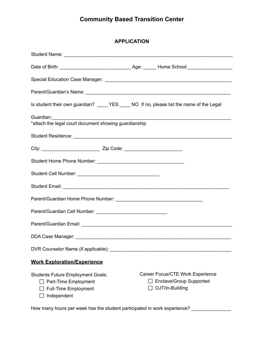| <b>APPLICATION</b> |
|--------------------|
|                    |

| Is student their own guardian? _____ YES _____ NO If no, please list the name of the Legal                     |  |                                                                                       |  |  |  |
|----------------------------------------------------------------------------------------------------------------|--|---------------------------------------------------------------------------------------|--|--|--|
| *attach the legal court document showing guardianship                                                          |  |                                                                                       |  |  |  |
|                                                                                                                |  |                                                                                       |  |  |  |
|                                                                                                                |  |                                                                                       |  |  |  |
|                                                                                                                |  |                                                                                       |  |  |  |
|                                                                                                                |  |                                                                                       |  |  |  |
|                                                                                                                |  |                                                                                       |  |  |  |
|                                                                                                                |  |                                                                                       |  |  |  |
|                                                                                                                |  |                                                                                       |  |  |  |
|                                                                                                                |  |                                                                                       |  |  |  |
|                                                                                                                |  |                                                                                       |  |  |  |
|                                                                                                                |  |                                                                                       |  |  |  |
| <b>Work Exploration/Experience</b>                                                                             |  |                                                                                       |  |  |  |
| <b>Students Future Employment Goals:</b><br>Part-Time Employment<br><b>Full-Time Employment</b><br>Independent |  | Career Focus/CTE Work Experience<br><b>Enclave/Group Supported</b><br>OJT/In-Building |  |  |  |

How many hours per week has the student participated in work experience? \_\_\_\_\_\_\_\_\_\_\_\_\_\_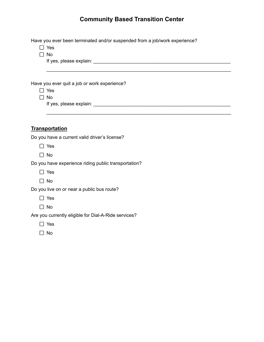| Have you ever been terminated and/or suspended from a job/work experience? |
|----------------------------------------------------------------------------|
| $\Box$ Yes                                                                 |
| $\square$ No                                                               |
|                                                                            |
|                                                                            |
|                                                                            |
| Have you ever quit a job or work experience?                               |
| $\Box$ Yes                                                                 |
| $\Box$ No                                                                  |
|                                                                            |
|                                                                            |
|                                                                            |
| <b>Transportation</b>                                                      |
| Do you have a current valid driver's license?                              |
| $\Box$ Yes                                                                 |
| $\Box$ No                                                                  |
| Do you have experience riding public transportation?                       |
| $\Box$ Yes                                                                 |
| $\Box$ No                                                                  |
| Do you live on or near a public bus route?                                 |
| $\Box$ Yes                                                                 |
| $\Box$ No                                                                  |
| Are you currently eligible for Dial-A-Ride services?                       |
| $\Box$ Yes                                                                 |
| No                                                                         |
|                                                                            |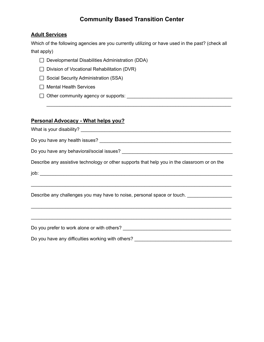## **Adult Services**

Which of the following agencies are you currently utilizing or have used in the past? (check all that apply)

\_\_\_\_\_\_\_\_\_\_\_\_\_\_\_\_\_\_\_\_\_\_\_\_\_\_\_\_\_\_\_\_\_\_\_\_\_\_\_\_\_\_\_\_\_\_\_\_\_\_\_\_\_\_\_\_\_\_\_\_\_\_\_\_\_\_\_\_\_\_

- $\Box$  Developmental Disabilities Administration (DDA)
- $\Box$  Division of Vocational Rehabilitation (DVR)
- $\Box$  Social Security Administration (SSA)
- $\Box$  Mental Health Services
- Other community agency or supports: \_\_\_\_\_\_\_\_\_\_\_\_\_\_\_\_\_\_\_\_\_\_\_\_\_\_\_\_\_\_\_\_\_\_\_\_\_\_\_\_

## **Personal Advocacy - What helps you?**

What is your disability? \_\_\_\_\_\_\_\_\_\_\_\_\_\_\_\_\_\_\_\_\_\_\_\_\_\_\_\_\_\_\_\_\_\_\_\_\_\_\_\_\_\_\_\_\_\_\_\_\_\_\_\_\_\_\_\_\_

Do you have any health issues? \_\_\_\_\_\_\_\_\_\_\_\_\_\_\_\_\_\_\_\_\_\_\_\_\_\_\_\_\_\_\_\_\_\_\_\_\_\_\_\_\_\_\_\_\_\_\_\_\_\_

Do you have any behavioral/social issues? \_\_\_\_\_\_\_\_\_\_\_\_\_\_\_\_\_\_\_\_\_\_\_\_\_\_\_\_\_\_\_\_\_\_\_\_\_\_\_\_\_\_

Describe any assistive technology or other supports that help you in the classroom or on the

\_\_\_\_\_\_\_\_\_\_\_\_\_\_\_\_\_\_\_\_\_\_\_\_\_\_\_\_\_\_\_\_\_\_\_\_\_\_\_\_\_\_\_\_\_\_\_\_\_\_\_\_\_\_\_\_\_\_\_\_\_\_\_\_\_\_\_\_\_\_\_\_\_\_\_\_

\_\_\_\_\_\_\_\_\_\_\_\_\_\_\_\_\_\_\_\_\_\_\_\_\_\_\_\_\_\_\_\_\_\_\_\_\_\_\_\_\_\_\_\_\_\_\_\_\_\_\_\_\_\_\_\_\_\_\_\_\_\_\_\_\_\_\_\_\_\_\_\_\_\_\_\_

\_\_\_\_\_\_\_\_\_\_\_\_\_\_\_\_\_\_\_\_\_\_\_\_\_\_\_\_\_\_\_\_\_\_\_\_\_\_\_\_\_\_\_\_\_\_\_\_\_\_\_\_\_\_\_\_\_\_\_\_\_\_\_\_\_\_\_\_\_\_\_\_\_\_\_\_

job: \_\_\_\_\_\_\_\_\_\_\_\_\_\_\_\_\_\_\_\_\_\_\_\_\_\_\_\_\_\_\_\_\_\_\_\_\_\_\_\_\_\_\_\_\_\_\_\_\_\_\_\_\_\_\_\_\_\_\_\_\_\_\_\_\_\_\_\_\_\_\_\_\_

Describe any challenges you may have to noise, personal space or touch. \_\_\_\_\_\_\_\_\_\_\_\_\_\_

Do you prefer to work alone or with others? \_\_\_\_\_\_\_\_\_\_\_\_\_\_\_\_\_\_\_\_\_\_\_\_\_\_\_\_\_\_\_\_\_\_\_\_\_\_\_\_\_

Do you have any difficulties working with others? \_\_\_\_\_\_\_\_\_\_\_\_\_\_\_\_\_\_\_\_\_\_\_\_\_\_\_\_\_\_\_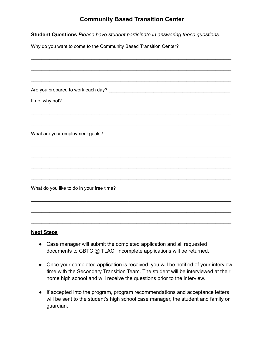**Student Questions** *Please have student participate in answering these questions.*

Why do you want to come to the Community Based Transition Center?

| If no, why not?                           |
|-------------------------------------------|
|                                           |
|                                           |
| What are your employment goals?           |
|                                           |
|                                           |
|                                           |
|                                           |
| What do you like to do in your free time? |
|                                           |
|                                           |
|                                           |

## **Next Steps**

● Case manager will submit the completed application and all requested documents to CBTC @ TLAC. Incomplete applications will be returned.

\_\_\_\_\_\_\_\_\_\_\_\_\_\_\_\_\_\_\_\_\_\_\_\_\_\_\_\_\_\_\_\_\_\_\_\_\_\_\_\_\_\_\_\_\_\_\_\_\_\_\_\_\_\_\_\_\_\_\_\_\_\_\_\_\_\_\_\_\_\_\_\_\_\_\_\_

- Once your completed application is received, you will be notified of your interview time with the Secondary Transition Team. The student will be interviewed at their home high school and will receive the questions prior to the interview.
- If accepted into the program, program recommendations and acceptance letters will be sent to the student's high school case manager, the student and family or guardian.